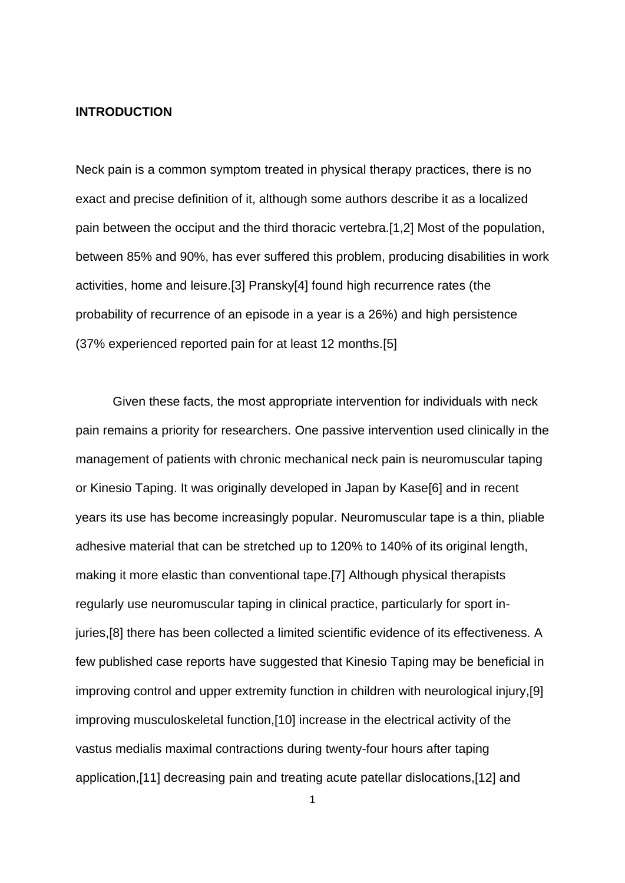#### **INTRODUCTION**

Neck pain is a common symptom treated in physical therapy practices, there is no exact and precise definition of it, although some authors describe it as a localized pain between the occiput and the third thoracic vertebra.[1,2] Most of the population, between 85% and 90%, has ever suffered this problem, producing disabilities in work activities, home and leisure.[3] Pransky[4] found high recurrence rates (the probability of recurrence of an episode in a year is a 26%) and high persistence (37% experienced reported pain for at least 12 months.[5]

Given these facts, the most appropriate intervention for individuals with neck pain remains a priority for researchers. One passive intervention used clinically in the management of patients with chronic mechanical neck pain is neuromuscular taping or Kinesio Taping. It was originally developed in Japan by Kase[6] and in recent years its use has become increasingly popular. Neuromuscular tape is a thin, pliable adhesive material that can be stretched up to 120% to 140% of its original length, making it more elastic than conventional tape.[7] Although physical therapists regularly use neuromuscular taping in clinical practice, particularly for sport injuries,[8] there has been collected a limited scientific evidence of its effectiveness. A few published case reports have suggested that Kinesio Taping may be beneficial in improving control and upper extremity function in children with neurological injury,[9] improving musculoskeletal function,[10] increase in the electrical activity of the vastus medialis maximal contractions during twenty-four hours after taping application,[11] decreasing pain and treating acute patellar dislocations,[12] and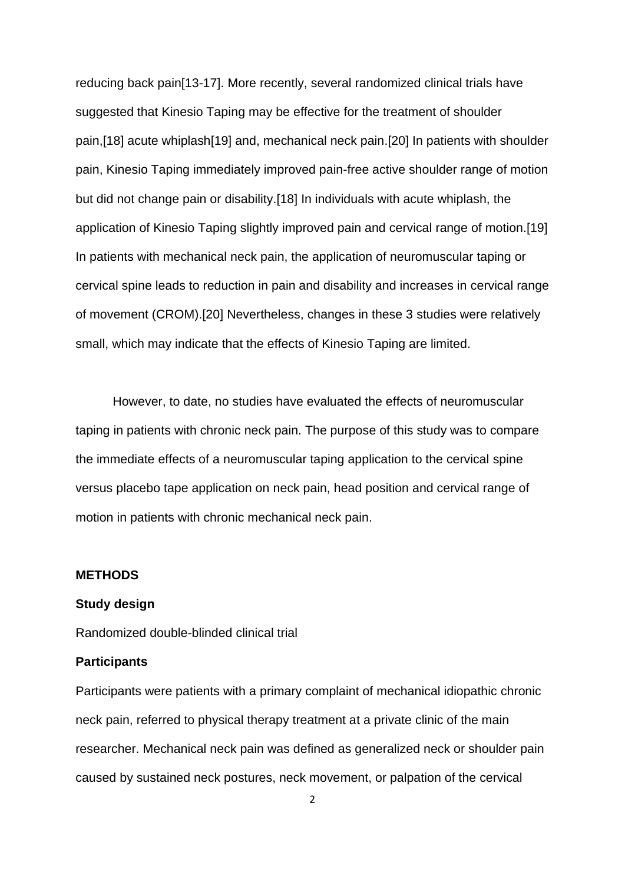reducing back pain[13-17]. More recently, several randomized clinical trials have suggested that Kinesio Taping may be effective for the treatment of shoulder pain,[18] acute whiplash[19] and, mechanical neck pain.[20] In patients with shoulder pain, Kinesio Taping immediately improved pain-free active shoulder range of motion but did not change pain or disability.[18] In individuals with acute whiplash, the application of Kinesio Taping slightly improved pain and cervical range of motion.[19] In patients with mechanical neck pain, the application of neuromuscular taping or cervical spine leads to reduction in pain and disability and increases in cervical range of movement (CROM).[20] Nevertheless, changes in these 3 studies were relatively small, which may indicate that the effects of Kinesio Taping are limited.

However, to date, no studies have evaluated the effects of neuromuscular taping in patients with chronic neck pain. The purpose of this study was to compare the immediate effects of a neuromuscular taping application to the cervical spine versus placebo tape application on neck pain, head position and cervical range of motion in patients with chronic mechanical neck pain.

#### **METHODS**

## **Study design**

Randomized double-blinded clinical trial

#### **Participants**

Participants were patients with a primary complaint of mechanical idiopathic chronic neck pain, referred to physical therapy treatment at a private clinic of the main researcher. Mechanical neck pain was defined as generalized neck or shoulder pain caused by sustained neck postures, neck movement, or palpation of the cervical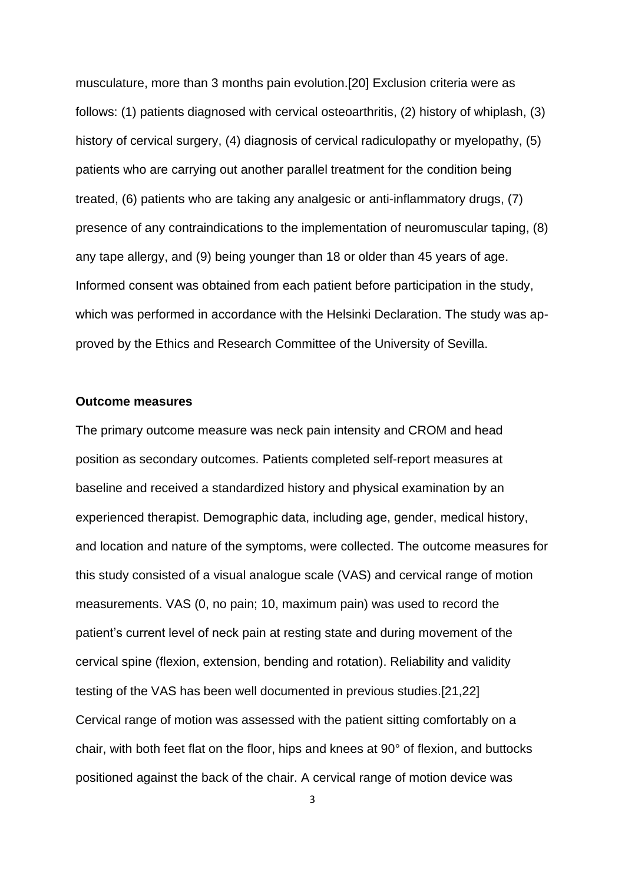musculature, more than 3 months pain evolution.[20] Exclusion criteria were as follows: (1) patients diagnosed with cervical osteoarthritis, (2) history of whiplash, (3) history of cervical surgery, (4) diagnosis of cervical radiculopathy or myelopathy, (5) patients who are carrying out another parallel treatment for the condition being treated, (6) patients who are taking any analgesic or anti-inflammatory drugs, (7) presence of any contraindications to the implementation of neuromuscular taping, (8) any tape allergy, and (9) being younger than 18 or older than 45 years of age. Informed consent was obtained from each patient before participation in the study, which was performed in accordance with the Helsinki Declaration. The study was approved by the Ethics and Research Committee of the University of Sevilla.

#### **Outcome measures**

The primary outcome measure was neck pain intensity and CROM and head position as secondary outcomes. Patients completed self-report measures at baseline and received a standardized history and physical examination by an experienced therapist. Demographic data, including age, gender, medical history, and location and nature of the symptoms, were collected. The outcome measures for this study consisted of a visual analogue scale (VAS) and cervical range of motion measurements. VAS (0, no pain; 10, maximum pain) was used to record the patient's current level of neck pain at resting state and during movement of the cervical spine (flexion, extension, bending and rotation). Reliability and validity testing of the VAS has been well documented in previous studies.[21,22] Cervical range of motion was assessed with the patient sitting comfortably on a chair, with both feet flat on the floor, hips and knees at 90° of flexion, and buttocks positioned against the back of the chair. A cervical range of motion device was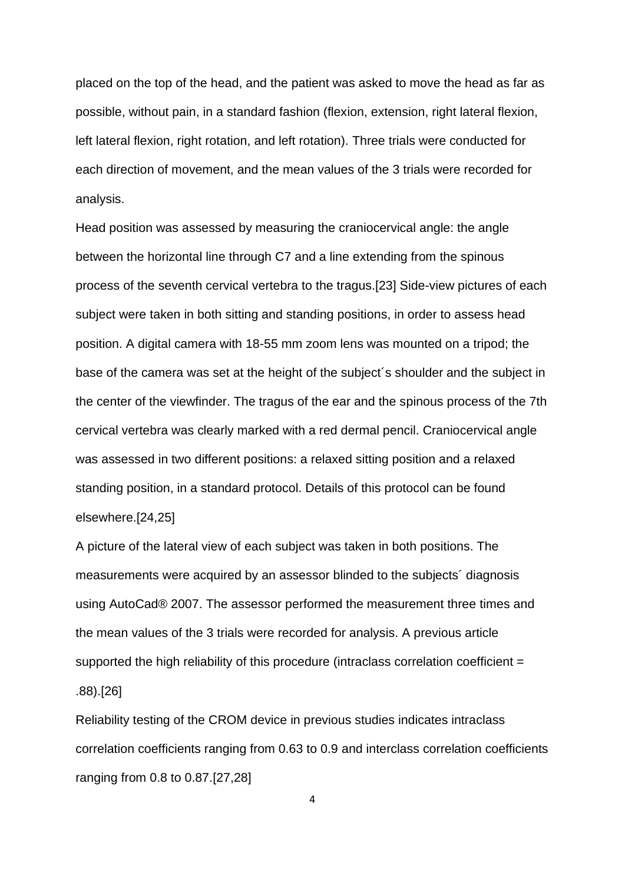placed on the top of the head, and the patient was asked to move the head as far as possible, without pain, in a standard fashion (flexion, extension, right lateral flexion, left lateral flexion, right rotation, and left rotation). Three trials were conducted for each direction of movement, and the mean values of the 3 trials were recorded for analysis.

Head position was assessed by measuring the craniocervical angle: the angle between the horizontal line through C7 and a line extending from the spinous process of the seventh cervical vertebra to the tragus.[23] Side-view pictures of each subject were taken in both sitting and standing positions, in order to assess head position. A digital camera with 18-55 mm zoom lens was mounted on a tripod; the base of the camera was set at the height of the subject´s shoulder and the subject in the center of the viewfinder. The tragus of the ear and the spinous process of the 7th cervical vertebra was clearly marked with a red dermal pencil. Craniocervical angle was assessed in two different positions: a relaxed sitting position and a relaxed standing position, in a standard protocol. Details of this protocol can be found elsewhere.[24,25]

A picture of the lateral view of each subject was taken in both positions. The measurements were acquired by an assessor blinded to the subjects´ diagnosis using AutoCad® 2007. The assessor performed the measurement three times and the mean values of the 3 trials were recorded for analysis. A previous article supported the high reliability of this procedure (intraclass correlation coefficient = .88).[26]

Reliability testing of the CROM device in previous studies indicates intraclass correlation coefficients ranging from 0.63 to 0.9 and interclass correlation coefficients ranging from 0.8 to 0.87.[27,28]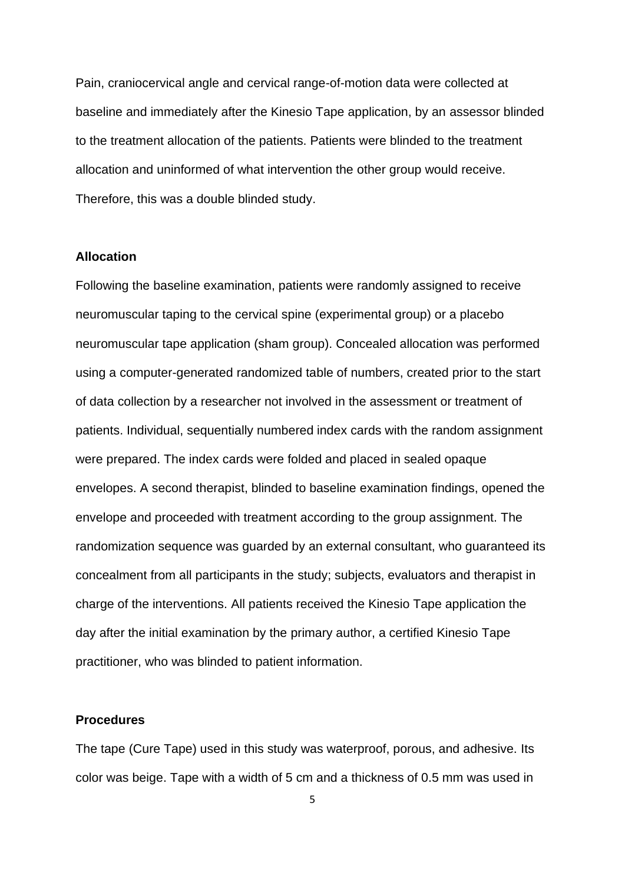Pain, craniocervical angle and cervical range-of-motion data were collected at baseline and immediately after the Kinesio Tape application, by an assessor blinded to the treatment allocation of the patients. Patients were blinded to the treatment allocation and uninformed of what intervention the other group would receive. Therefore, this was a double blinded study.

#### **Allocation**

Following the baseline examination, patients were randomly assigned to receive neuromuscular taping to the cervical spine (experimental group) or a placebo neuromuscular tape application (sham group). Concealed allocation was performed using a computer-generated randomized table of numbers, created prior to the start of data collection by a researcher not involved in the assessment or treatment of patients. Individual, sequentially numbered index cards with the random assignment were prepared. The index cards were folded and placed in sealed opaque envelopes. A second therapist, blinded to baseline examination findings, opened the envelope and proceeded with treatment according to the group assignment. The randomization sequence was guarded by an external consultant, who guaranteed its concealment from all participants in the study; subjects, evaluators and therapist in charge of the interventions. All patients received the Kinesio Tape application the day after the initial examination by the primary author, a certified Kinesio Tape practitioner, who was blinded to patient information.

## **Procedures**

The tape (Cure Tape) used in this study was waterproof, porous, and adhesive. Its color was beige. Tape with a width of 5 cm and a thickness of 0.5 mm was used in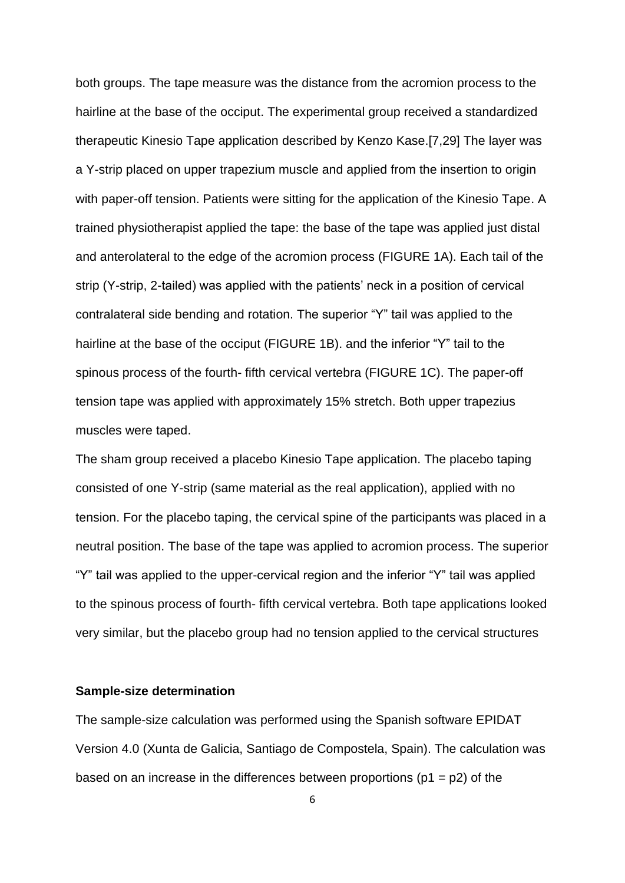both groups. The tape measure was the distance from the acromion process to the hairline at the base of the occiput. The experimental group received a standardized therapeutic Kinesio Tape application described by Kenzo Kase.[7,29] The layer was a Y-strip placed on upper trapezium muscle and applied from the insertion to origin with paper-off tension. Patients were sitting for the application of the Kinesio Tape. A trained physiotherapist applied the tape: the base of the tape was applied just distal and anterolateral to the edge of the acromion process (FIGURE 1A). Each tail of the strip (Y-strip, 2-tailed) was applied with the patients' neck in a position of cervical contralateral side bending and rotation. The superior "Y" tail was applied to the hairline at the base of the occiput (FIGURE 1B). and the inferior "Y" tail to the spinous process of the fourth- fifth cervical vertebra (FIGURE 1C). The paper-off tension tape was applied with approximately 15% stretch. Both upper trapezius muscles were taped.

The sham group received a placebo Kinesio Tape application. The placebo taping consisted of one Y-strip (same material as the real application), applied with no tension. For the placebo taping, the cervical spine of the participants was placed in a neutral position. The base of the tape was applied to acromion process. The superior "Y" tail was applied to the upper-cervical region and the inferior "Y" tail was applied to the spinous process of fourth- fifth cervical vertebra. Both tape applications looked very similar, but the placebo group had no tension applied to the cervical structures

#### **Sample-size determination**

The sample-size calculation was performed using the Spanish software EPIDAT Version 4.0 (Xunta de Galicia, Santiago de Compostela, Spain). The calculation was based on an increase in the differences between proportions ( $p1 = p2$ ) of the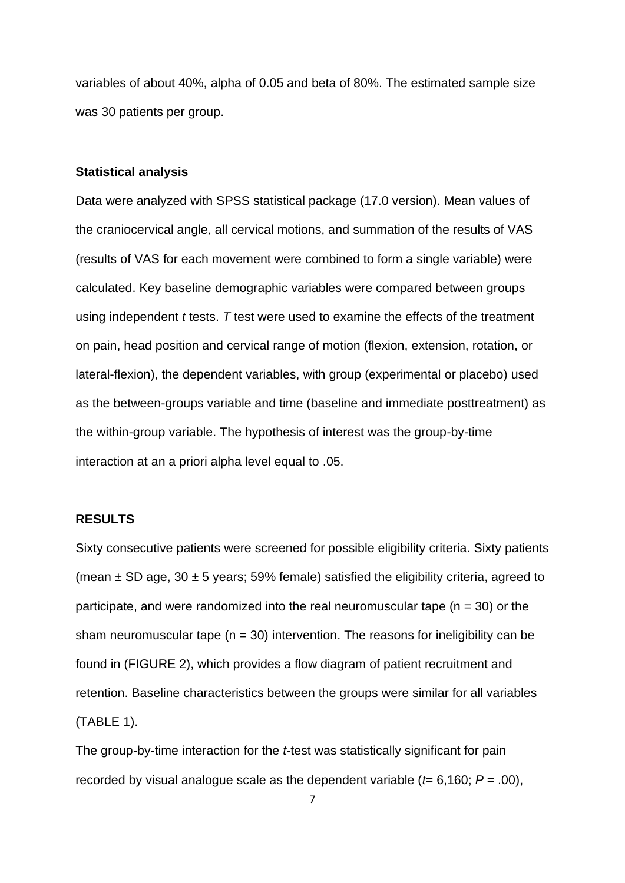variables of about 40%, alpha of 0.05 and beta of 80%. The estimated sample size was 30 patients per group.

### **Statistical analysis**

Data were analyzed with SPSS statistical package (17.0 version). Mean values of the craniocervical angle, all cervical motions, and summation of the results of VAS (results of VAS for each movement were combined to form a single variable) were calculated. Key baseline demographic variables were compared between groups using independent *t* tests. *T* test were used to examine the effects of the treatment on pain, head position and cervical range of motion (flexion, extension, rotation, or lateral-flexion), the dependent variables, with group (experimental or placebo) used as the between-groups variable and time (baseline and immediate posttreatment) as the within-group variable. The hypothesis of interest was the group-by-time interaction at an a priori alpha level equal to .05.

## **RESULTS**

Sixty consecutive patients were screened for possible eligibility criteria. Sixty patients (mean  $\pm$  SD age, 30  $\pm$  5 years; 59% female) satisfied the eligibility criteria, agreed to participate, and were randomized into the real neuromuscular tape  $(n = 30)$  or the sham neuromuscular tape  $(n = 30)$  intervention. The reasons for ineligibility can be found in (FIGURE 2), which provides a flow diagram of patient recruitment and retention. Baseline characteristics between the groups were similar for all variables (TABLE 1).

The group-by-time interaction for the *t*-test was statistically significant for pain recorded by visual analogue scale as the dependent variable ( $t= 6,160$ ;  $P = .00$ ),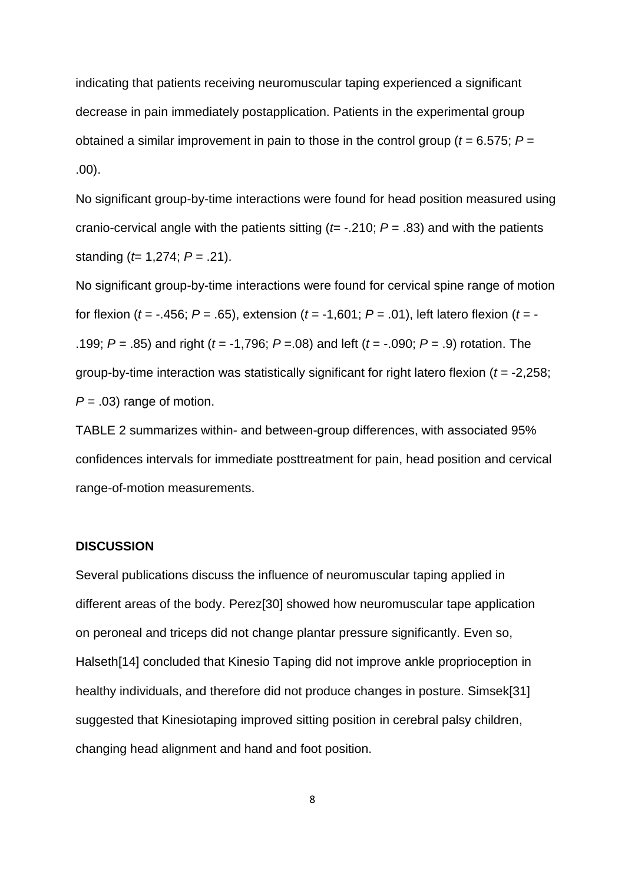indicating that patients receiving neuromuscular taping experienced a significant decrease in pain immediately postapplication. Patients in the experimental group obtained a similar improvement in pain to those in the control group (*t* = 6.575; *P* = .00).

No significant group-by-time interactions were found for head position measured using cranio-cervical angle with the patients sitting (*t*= -.210; *P* = .83) and with the patients standing (*t*= 1,274; *P* = .21).

No significant group-by-time interactions were found for cervical spine range of motion for flexion (*t* = -.456; *P* = .65), extension (*t* = -1,601; *P* = .01), left latero flexion (*t* = - .199; *P* = .85) and right (*t* = -1,796; *P* =.08) and left (*t* = -.090; *P* = .9) rotation. The group-by-time interaction was statistically significant for right latero flexion (*t* = -2,258; *P =* .03) range of motion.

TABLE 2 summarizes within- and between-group differences, with associated 95% confidences intervals for immediate posttreatment for pain, head position and cervical range-of-motion measurements.

## **DISCUSSION**

Several publications discuss the influence of neuromuscular taping applied in different areas of the body. Perez[30] showed how neuromuscular tape application on peroneal and triceps did not change plantar pressure significantly. Even so, Halseth[14] concluded that Kinesio Taping did not improve ankle proprioception in healthy individuals, and therefore did not produce changes in posture. Simsek[31] suggested that Kinesiotaping improved sitting position in cerebral palsy children, changing head alignment and hand and foot position.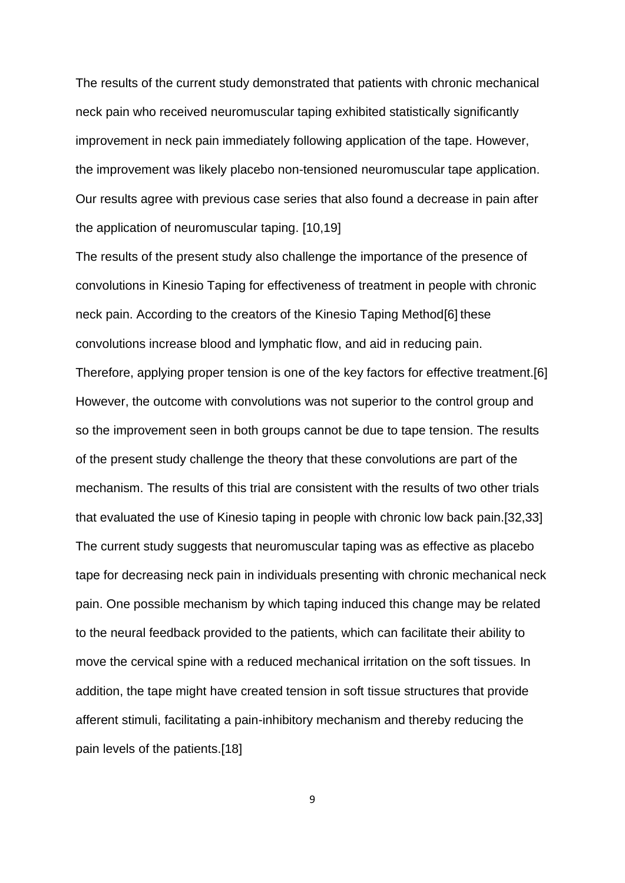The results of the current study demonstrated that patients with chronic mechanical neck pain who received neuromuscular taping exhibited statistically significantly improvement in neck pain immediately following application of the tape. However, the improvement was likely placebo non-tensioned neuromuscular tape application. Our results agree with previous case series that also found a decrease in pain after the application of neuromuscular taping. [10,19]

The results of the present study also challenge the importance of the presence of convolutions in Kinesio Taping for effectiveness of treatment in people with chronic neck pain. According to the creators of the Kinesio Taping Method[6] these convolutions increase blood and lymphatic flow, and aid in reducing pain. Therefore, applying proper tension is one of the key factors for effective treatment.[6] However, the outcome with convolutions was not superior to the control group and so the improvement seen in both groups cannot be due to tape tension. The results of the present study challenge the theory that these convolutions are part of the mechanism. The results of this trial are consistent with the results of two other trials that evaluated the use of Kinesio taping in people with chronic low back pain.[32,33] The current study suggests that neuromuscular taping was as effective as placebo tape for decreasing neck pain in individuals presenting with chronic mechanical neck pain. One possible mechanism by which taping induced this change may be related to the neural feedback provided to the patients, which can facilitate their ability to move the cervical spine with a reduced mechanical irritation on the soft tissues. In addition, the tape might have created tension in soft tissue structures that provide afferent stimuli, facilitating a pain-inhibitory mechanism and thereby reducing the pain levels of the patients.[18]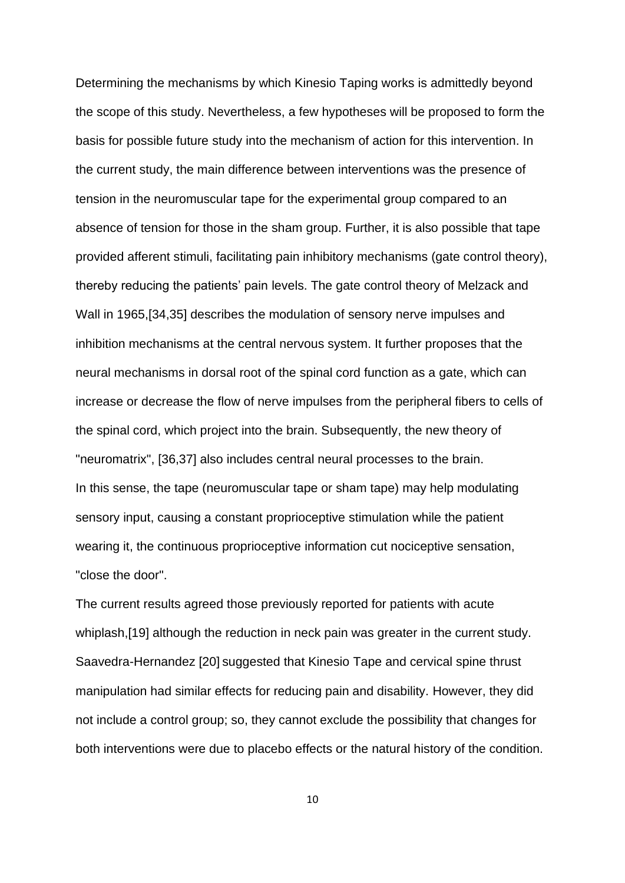Determining the mechanisms by which Kinesio Taping works is admittedly beyond the scope of this study. Nevertheless, a few hypotheses will be proposed to form the basis for possible future study into the mechanism of action for this intervention. In the current study, the main difference between interventions was the presence of tension in the neuromuscular tape for the experimental group compared to an absence of tension for those in the sham group. Further, it is also possible that tape provided afferent stimuli, facilitating pain inhibitory mechanisms (gate control theory), thereby reducing the patients' pain levels. The gate control theory of Melzack and Wall in 1965,[34,35] describes the modulation of sensory nerve impulses and inhibition mechanisms at the central nervous system. It further proposes that the neural mechanisms in dorsal root of the spinal cord function as a gate, which can increase or decrease the flow of nerve impulses from the peripheral fibers to cells of the spinal cord, which project into the brain. Subsequently, the new theory of "neuromatrix", [36,37] also includes central neural processes to the brain. In this sense, the tape (neuromuscular tape or sham tape) may help modulating sensory input, causing a constant proprioceptive stimulation while the patient wearing it, the continuous proprioceptive information cut nociceptive sensation, "close the door".

The current results agreed those previously reported for patients with acute whiplash,[19] although the reduction in neck pain was greater in the current study. Saavedra-Hernandez [20] suggested that Kinesio Tape and cervical spine thrust manipulation had similar effects for reducing pain and disability. However, they did not include a control group; so, they cannot exclude the possibility that changes for both interventions were due to placebo effects or the natural history of the condition.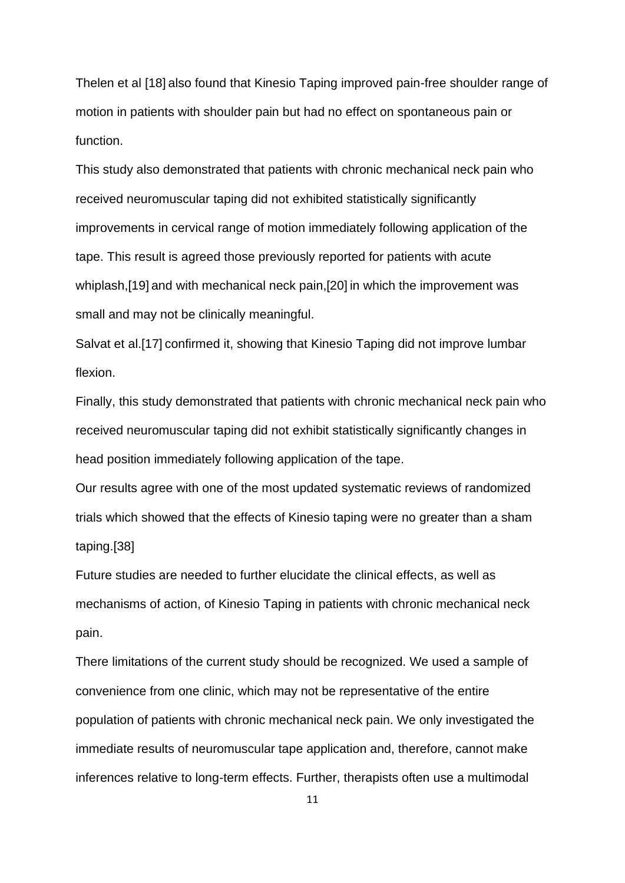Thelen et al [18] also found that Kinesio Taping improved pain-free shoulder range of motion in patients with shoulder pain but had no effect on spontaneous pain or function.

This study also demonstrated that patients with chronic mechanical neck pain who received neuromuscular taping did not exhibited statistically significantly improvements in cervical range of motion immediately following application of the tape. This result is agreed those previously reported for patients with acute whiplash,[19] and with mechanical neck pain,[20] in which the improvement was small and may not be clinically meaningful.

Salvat et al.[17] confirmed it, showing that Kinesio Taping did not improve lumbar flexion.

Finally, this study demonstrated that patients with chronic mechanical neck pain who received neuromuscular taping did not exhibit statistically significantly changes in head position immediately following application of the tape.

Our results agree with one of the most updated systematic reviews of randomized trials which showed that the effects of Kinesio taping were no greater than a sham taping.[38]

Future studies are needed to further elucidate the clinical effects, as well as mechanisms of action, of Kinesio Taping in patients with chronic mechanical neck pain.

There limitations of the current study should be recognized. We used a sample of convenience from one clinic, which may not be representative of the entire population of patients with chronic mechanical neck pain. We only investigated the immediate results of neuromuscular tape application and, therefore, cannot make inferences relative to long-term effects. Further, therapists often use a multimodal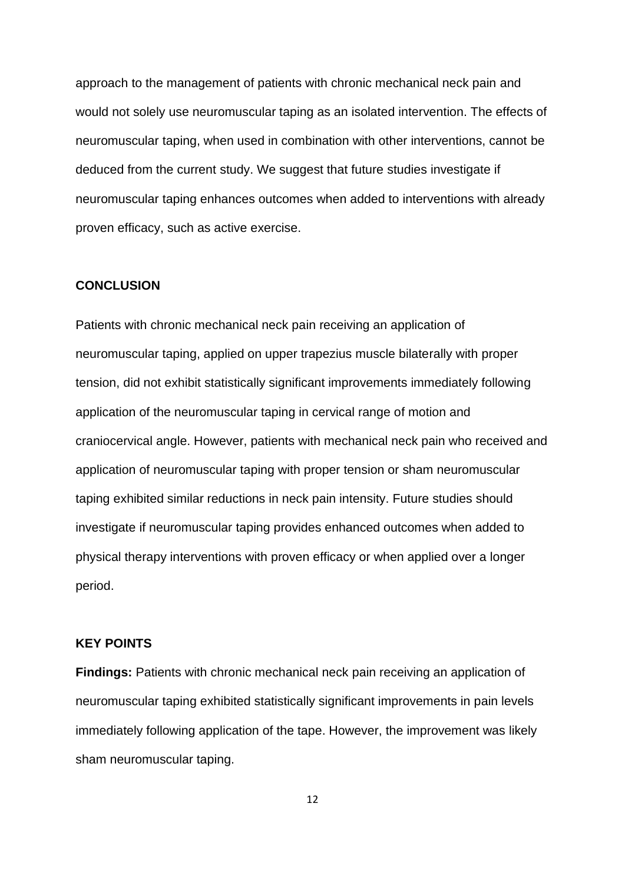approach to the management of patients with chronic mechanical neck pain and would not solely use neuromuscular taping as an isolated intervention. The effects of neuromuscular taping, when used in combination with other interventions, cannot be deduced from the current study. We suggest that future studies investigate if neuromuscular taping enhances outcomes when added to interventions with already proven efficacy, such as active exercise.

### **CONCLUSION**

Patients with chronic mechanical neck pain receiving an application of neuromuscular taping, applied on upper trapezius muscle bilaterally with proper tension, did not exhibit statistically significant improvements immediately following application of the neuromuscular taping in cervical range of motion and craniocervical angle. However, patients with mechanical neck pain who received and application of neuromuscular taping with proper tension or sham neuromuscular taping exhibited similar reductions in neck pain intensity. Future studies should investigate if neuromuscular taping provides enhanced outcomes when added to physical therapy interventions with proven efficacy or when applied over a longer period.

## **KEY POINTS**

**Findings:** Patients with chronic mechanical neck pain receiving an application of neuromuscular taping exhibited statistically significant improvements in pain levels immediately following application of the tape. However, the improvement was likely sham neuromuscular taping.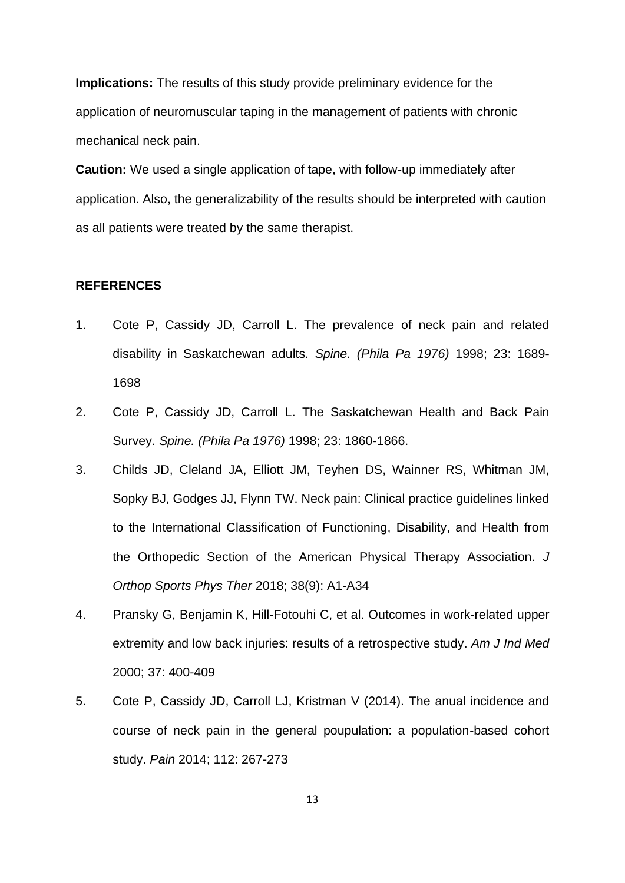**Implications:** The results of this study provide preliminary evidence for the application of neuromuscular taping in the management of patients with chronic mechanical neck pain.

**Caution:** We used a single application of tape, with follow-up immediately after application. Also, the generalizability of the results should be interpreted with caution as all patients were treated by the same therapist.

## **REFERENCES**

- 1. Cote P, Cassidy JD, Carroll L. The prevalence of neck pain and related disability in Saskatchewan adults. *Spine. (Phila Pa 1976)* 1998; 23: 1689- 1698
- 2. Cote P, Cassidy JD, Carroll L. The Saskatchewan Health and Back Pain Survey. *Spine. (Phila Pa 1976)* 1998; 23: 1860-1866.
- 3. Childs JD, Cleland JA, Elliott JM, Teyhen DS, Wainner RS, Whitman JM, Sopky BJ, Godges JJ, Flynn TW. Neck pain: Clinical practice guidelines linked to the International Classification of Functioning, Disability, and Health from the Orthopedic Section of the American Physical Therapy Association. *J Orthop Sports Phys Ther* 2018; 38(9): A1-A34
- 4. Pransky G, Benjamin K, Hill-Fotouhi C, et al. Outcomes in work-related upper extremity and low back injuries: results of a retrospective study. *Am J Ind Med* 2000; 37: 400-409
- 5. Cote P, Cassidy JD, Carroll LJ, Kristman V (2014). The anual incidence and course of neck pain in the general poupulation: a population-based cohort study. *Pain* 2014; 112: 267-273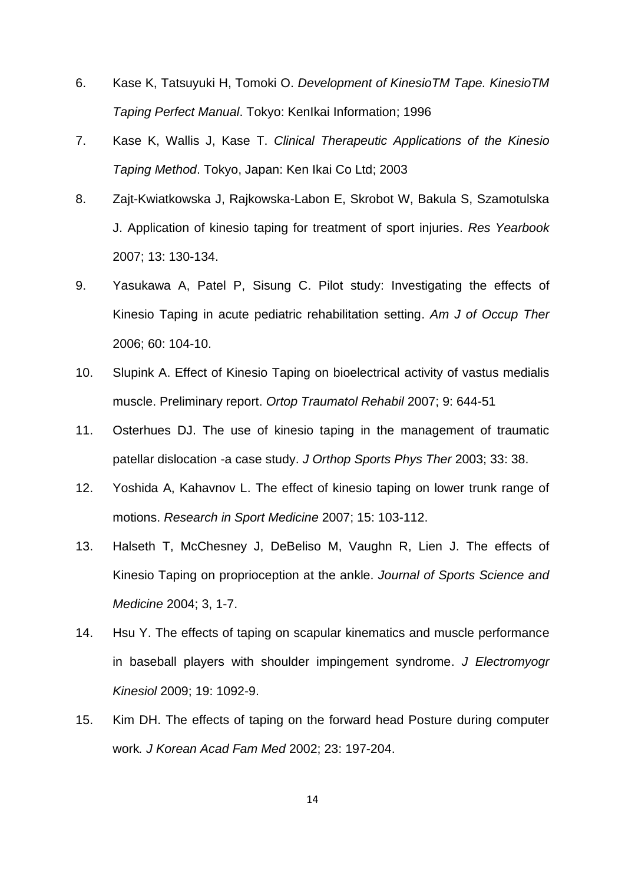- 6. Kase K, Tatsuyuki H, Tomoki O. *Development of KinesioTM Tape. KinesioTM Taping Perfect Manual*. Tokyo: KenIkai Information; 1996
- 7. Kase K, Wallis J, Kase T. *Clinical Therapeutic Applications of the Kinesio Taping Method*. Tokyo, Japan: Ken Ikai Co Ltd; 2003
- 8. Zajt-Kwiatkowska J, Rajkowska-Labon E, Skrobot W, Bakula S, Szamotulska J. Application of kinesio taping for treatment of sport injuries. *Res Yearbook* 2007; 13: 130-134.
- 9. Yasukawa A, Patel P, Sisung C. Pilot study: Investigating the effects of Kinesio Taping in acute pediatric rehabilitation setting. *Am J of Occup Ther* 2006; 60: 104-10.
- 10. Slupink A. Effect of Kinesio Taping on bioelectrical activity of vastus medialis muscle. Preliminary report. *Ortop Traumatol Rehabil* 2007; 9: 644-51
- 11. Osterhues DJ. The use of kinesio taping in the management of traumatic patellar dislocation -a case study. *J Orthop Sports Phys Ther* 2003; 33: 38.
- 12. Yoshida A, Kahavnov L. The effect of kinesio taping on lower trunk range of motions. *Research in Sport Medicine* 2007; 15: 103-112.
- 13. Halseth T, McChesney J, DeBeliso M, Vaughn R, Lien J. The effects of Kinesio Taping on proprioception at the ankle. *Journal of Sports Science and Medicine* 2004; 3, 1-7.
- 14. Hsu Y. The effects of taping on scapular kinematics and muscle performance in baseball players with shoulder impingement syndrome. *J Electromyogr Kinesiol* 2009; 19: 1092-9.
- 15. Kim DH. The effects of taping on the forward head Posture during computer work*. J Korean Acad Fam Med* 2002; 23: 197-204.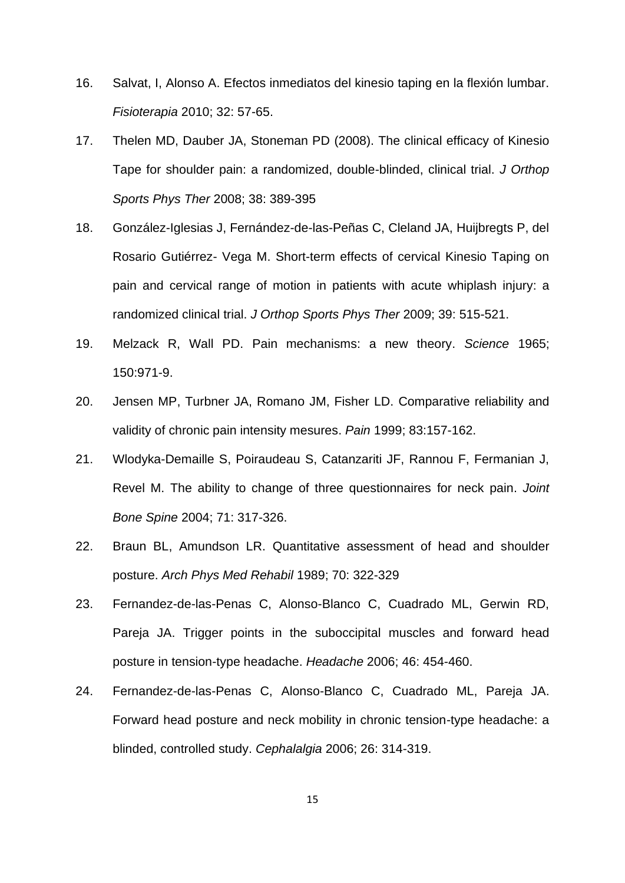- 16. Salvat, I, Alonso A. Efectos inmediatos del kinesio taping en la flexión lumbar. *Fisioterapia* 2010; 32: 57-65.
- 17. Thelen MD, Dauber JA, Stoneman PD (2008). The clinical efficacy of Kinesio Tape for shoulder pain: a randomized, double-blinded, clinical trial. *J Orthop Sports Phys Ther* 2008; 38: 389-395
- 18. González-Iglesias J, Fernández-de-las-Peñas C, Cleland JA, Huijbregts P, del Rosario Gutiérrez- Vega M. Short-term effects of cervical Kinesio Taping on pain and cervical range of motion in patients with acute whiplash injury: a randomized clinical trial. *J Orthop Sports Phys Ther* 2009; 39: 515-521.
- 19. Melzack R, Wall PD. Pain mechanisms: a new theory. *Science* 1965; 150:971-9.
- 20. Jensen MP, Turbner JA, Romano JM, Fisher LD. Comparative reliability and validity of chronic pain intensity mesures. *Pain* 1999; 83:157-162.
- 21. Wlodyka-Demaille S, Poiraudeau S, Catanzariti JF, Rannou F, Fermanian J, Revel M. The ability to change of three questionnaires for neck pain. *Joint Bone Spine* 2004; 71: 317-326.
- 22. Braun BL, Amundson LR. Quantitative assessment of head and shoulder posture. *Arch Phys Med Rehabil* 1989; 70: 322-329
- 23. Fernandez-de-las-Penas C, Alonso-Blanco C, Cuadrado ML, Gerwin RD, Pareja JA. Trigger points in the suboccipital muscles and forward head posture in tension-type headache. *Headache* 2006; 46: 454-460.
- 24. Fernandez-de-las-Penas C, Alonso-Blanco C, Cuadrado ML, Pareja JA. Forward head posture and neck mobility in chronic tension-type headache: a blinded, controlled study. *Cephalalgia* 2006; 26: 314-319.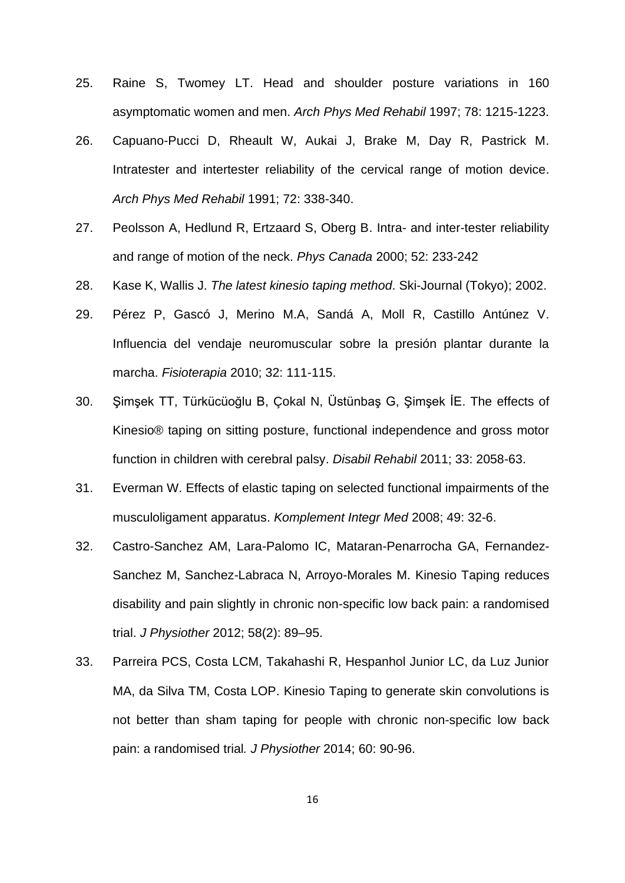- 25. Raine S, Twomey LT. Head and shoulder posture variations in 160 asymptomatic women and men. *Arch Phys Med Rehabil* 1997; 78: 1215-1223.
- 26. Capuano-Pucci D, Rheault W, Aukai J, Brake M, Day R, Pastrick M. Intratester and intertester reliability of the cervical range of motion device. *Arch Phys Med Rehabil* 1991; 72: 338-340.
- 27. Peolsson A, Hedlund R, Ertzaard S, Oberg B. Intra- and inter-tester reliability and range of motion of the neck. *Phys Canada* 2000; 52: 233-242
- 28. Kase K, Wallis J. *The latest kinesio taping method*. Ski-Journal (Tokyo); 2002.
- 29. Pérez P, Gascó J, Merino M.A, Sandá A, Moll R, Castillo Antúnez V. Influencia del vendaje neuromuscular sobre la presión plantar durante la marcha. *Fisioterapia* 2010; 32: 111-115.
- 30. [Şimşek TT,](http://www.ncbi.nlm.nih.gov/pubmed?term=%C5%9Eim%C5%9Fek%20TT%5BAuthor%5D&cauthor=true&cauthor_uid=21401336) [Türkücüoğlu B,](http://www.ncbi.nlm.nih.gov/pubmed?term=T%C3%BCrk%C3%BCc%C3%BCo%C4%9Flu%20B%5BAuthor%5D&cauthor=true&cauthor_uid=21401336) [Çokal N,](http://www.ncbi.nlm.nih.gov/pubmed?term=%C3%87okal%20N%5BAuthor%5D&cauthor=true&cauthor_uid=21401336) [Üstünbaş G,](http://www.ncbi.nlm.nih.gov/pubmed?term=%C3%9Cst%C3%BCnba%C5%9F%20G%5BAuthor%5D&cauthor=true&cauthor_uid=21401336) [Şimşek İE.](http://www.ncbi.nlm.nih.gov/pubmed?term=%C5%9Eim%C5%9Fek%20%C4%B0E%5BAuthor%5D&cauthor=true&cauthor_uid=21401336) The effects of Kinesio® taping on sitting posture, functional independence and gross motor function in children with cerebral palsy. *Disabil Rehabil* 2011; 33: 2058-63.
- 31. Everman W. Effects of elastic taping on selected functional impairments of the musculoligament apparatus. *Komplement Integr Med* 2008; 49: 32-6.
- 32. Castro-Sanchez AM, Lara-Palomo IC, Mataran-Penarrocha GA, Fernandez-Sanchez M, Sanchez-Labraca N, Arroyo-Morales M. Kinesio Taping reduces disability and pain slightly in chronic non-specific low back pain: a randomised trial. *J Physiother* 2012; 58(2): 89–95.
- 33. Parreira PCS, Costa LCM, Takahashi R, Hespanhol Junior LC, da Luz Junior MA, da Silva TM, Costa LOP. Kinesio Taping to generate skin convolutions is not better than sham taping for people with chronic non-specific low back pain: a randomised trial*. J Physiother* 2014; 60: 90-96.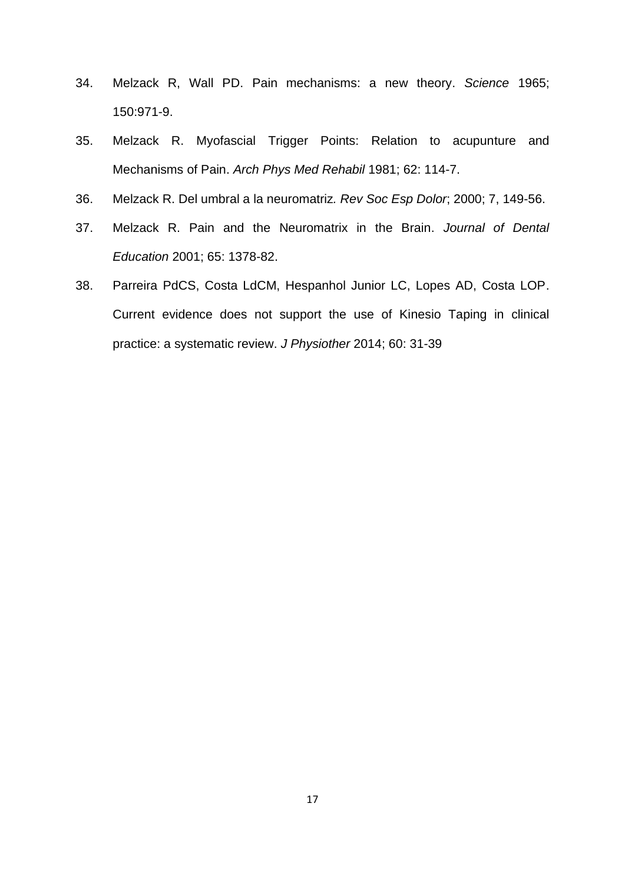- 34. Melzack R, Wall PD. Pain mechanisms: a new theory. *Science* 1965; 150:971-9.
- 35. Melzack R. Myofascial Trigger Points: Relation to acupunture and Mechanisms of Pain. *Arch Phys Med Rehabil* 1981; 62: 114-7.
- 36. Melzack R. Del umbral a la neuromatriz*. Rev Soc Esp Dolor*; 2000; 7, 149-56.
- 37. Melzack R. Pain and the Neuromatrix in the Brain. *Journal of Dental Education* 2001; 65: 1378-82.
- 38. Parreira PdCS, Costa LdCM, Hespanhol Junior LC, Lopes AD, Costa LOP. Current evidence does not support the use of Kinesio Taping in clinical practice: a systematic review. *J Physiother* 2014; 60: 31-39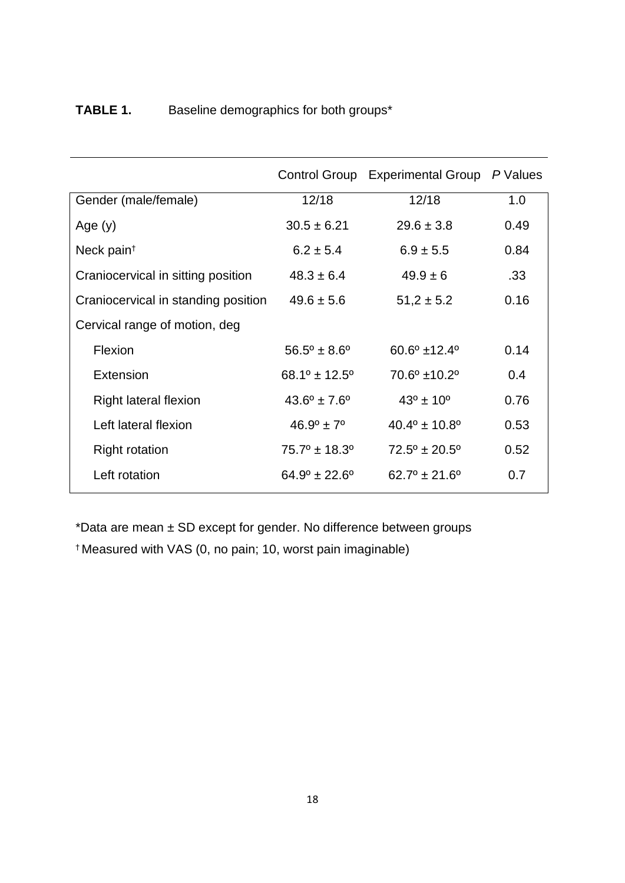|                                     | Control Group                   | <b>Experimental Group</b>       | P Values |
|-------------------------------------|---------------------------------|---------------------------------|----------|
| Gender (male/female)                | 12/18                           | 12/18                           | 1.0      |
| Age $(y)$                           | $30.5 \pm 6.21$                 | $29.6 \pm 3.8$                  | 0.49     |
| Neck pain <sup>t</sup>              | $6.2 \pm 5.4$                   | $6.9 \pm 5.5$                   | 0.84     |
| Craniocervical in sitting position  | $48.3 \pm 6.4$                  | $49.9 \pm 6$                    | .33      |
| Craniocervical in standing position | $49.6 \pm 5.6$                  | $51,2 \pm 5.2$                  | 0.16     |
| Cervical range of motion, deg       |                                 |                                 |          |
| Flexion                             | $56.5^{\circ} \pm 8.6^{\circ}$  | $60.6^{\circ}$ ±12.4°           | 0.14     |
| Extension                           | $68.1^{\circ}$ ± 12.5°          | $70.6^{\circ}$ ±10.2°           | 0.4      |
| Right lateral flexion               | $43.6^{\circ} \pm 7.6^{\circ}$  | $43^{\circ} \pm 10^{\circ}$     | 0.76     |
| Left lateral flexion                | $46.9^{\circ} \pm 7^{\circ}$    | $40.4^{\circ} \pm 10.8^{\circ}$ | 0.53     |
| <b>Right rotation</b>               | $75.7^{\circ}$ ± 18.3°          | $72.5^{\circ} \pm 20.5^{\circ}$ | 0.52     |
| Left rotation                       | $64.9^{\circ} \pm 22.6^{\circ}$ | $62.7^{\circ}$ ± 21.6°          | 0.7      |

# **TABLE 1.** Baseline demographics for both groups\*

\*Data are mean ± SD except for gender. No difference between groups † Measured with VAS (0, no pain; 10, worst pain imaginable)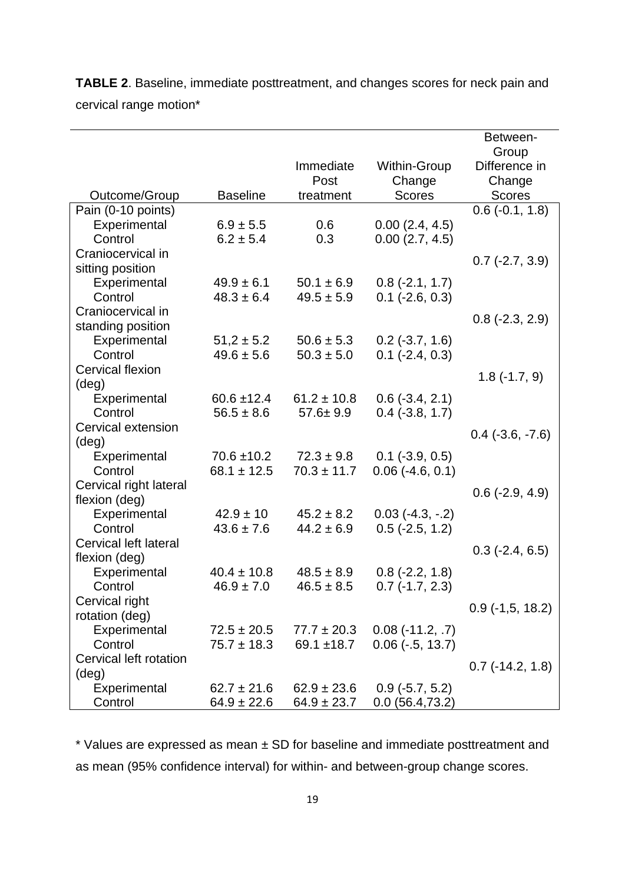**TABLE 2**. Baseline, immediate posttreatment, and changes scores for neck pain and cervical range motion\*

|                              |                 |                 |                          | Between-                  |
|------------------------------|-----------------|-----------------|--------------------------|---------------------------|
|                              |                 |                 |                          | Group                     |
|                              |                 | Immediate       | Within-Group             | Difference in             |
|                              |                 | Post            | Change                   | Change                    |
| Outcome/Group                | <b>Baseline</b> | treatment       | <b>Scores</b>            | <b>Scores</b>             |
| Pain (0-10 points)           |                 |                 |                          | $0.6$ ( $-0.1$ , 1.8)     |
| Experimental                 | $6.9 \pm 5.5$   | 0.6             | 0.00(2.4, 4.5)           |                           |
| Control                      | $6.2 \pm 5.4$   | 0.3             | 0.00(2.7, 4.5)           |                           |
| Craniocervical in            |                 |                 |                          | $0.7$ ( $-2.7$ , $3.9$ )  |
| sitting position             |                 |                 |                          |                           |
| Experimental                 | $49.9 \pm 6.1$  | $50.1 \pm 6.9$  | $0.8$ ( $-2.1, 1.7$ )    |                           |
| Control                      | $48.3 \pm 6.4$  | $49.5 \pm 5.9$  | $0.1$ ( $-2.6$ , $0.3$ ) |                           |
| Craniocervical in            |                 |                 |                          | $0.8$ ( $-2.3$ , $2.9$ )  |
| standing position            |                 |                 |                          |                           |
| Experimental                 | $51,2 \pm 5.2$  | $50.6 \pm 5.3$  | $0.2$ (-3.7, 1.6)        |                           |
| Control                      | $49.6 \pm 5.6$  | $50.3 \pm 5.0$  | $0.1$ ( $-2.4$ , $0.3$ ) |                           |
| <b>Cervical flexion</b>      |                 |                 |                          | $1.8(-1.7, 9)$            |
| $(\text{deg})$               |                 |                 |                          |                           |
| Experimental                 | $60.6 \pm 12.4$ | $61.2 \pm 10.8$ | $0.6$ ( $-3.4$ , 2.1)    |                           |
| Control                      | $56.5 \pm 8.6$  | $57.6 \pm 9.9$  | $0.4$ ( $-3.8$ , 1.7)    |                           |
| Cervical extension           |                 |                 |                          | $0.4$ (-3.6, -7.6)        |
| $(\text{deg})$               |                 |                 |                          |                           |
| Experimental                 | $70.6 \pm 10.2$ | $72.3 \pm 9.8$  | $0.1$ ( $-3.9$ , $0.5$ ) |                           |
| Control                      | $68.1 \pm 12.5$ | $70.3 \pm 11.7$ | $0.06$ (-4.6, 0.1)       |                           |
| Cervical right lateral       |                 |                 |                          | $0.6$ ( $-2.9, 4.9$ )     |
| flexion (deg)                |                 |                 |                          |                           |
| Experimental                 | $42.9 \pm 10$   | $45.2 \pm 8.2$  | $0.03$ (-4.3, -.2)       |                           |
| Control                      | $43.6 \pm 7.6$  | $44.2 \pm 6.9$  | $0.5$ (-2.5, 1.2)        |                           |
| <b>Cervical left lateral</b> |                 |                 |                          | $0.3$ (-2.4, 6.5)         |
| flexion (deg)                |                 |                 |                          |                           |
| Experimental                 | $40.4 \pm 10.8$ | $48.5 \pm 8.9$  | $0.8$ ( $-2.2$ , 1.8)    |                           |
| Control                      | $46.9 \pm 7.0$  | $46.5 \pm 8.5$  | $0.7$ ( $-1.7$ , 2.3)    |                           |
| Cervical right               |                 |                 |                          | $0.9$ (-1,5, 18.2)        |
| rotation (deg)               |                 |                 |                          |                           |
| Experimental                 | $72.5 \pm 20.5$ | $77.7 \pm 20.3$ | $0.08(-11.2, .7)$        |                           |
| Control                      | $75.7 \pm 18.3$ | 69.1 $±18.7$    | $0.06$ ( $-5, 13.7$ )    |                           |
| Cervical left rotation       |                 |                 |                          | $0.7$ ( $-14.2$ , $1.8$ ) |
| $(\text{deg})$               |                 |                 |                          |                           |
| Experimental                 | $62.7 \pm 21.6$ | $62.9 \pm 23.6$ | $0.9$ ( $-5.7, 5.2$ )    |                           |
| Control                      | $64.9 \pm 22.6$ | $64.9 \pm 23.7$ | 0.0(56.4,73.2)           |                           |

\* Values are expressed as mean ± SD for baseline and immediate posttreatment and as mean (95% confidence interval) for within- and between-group change scores.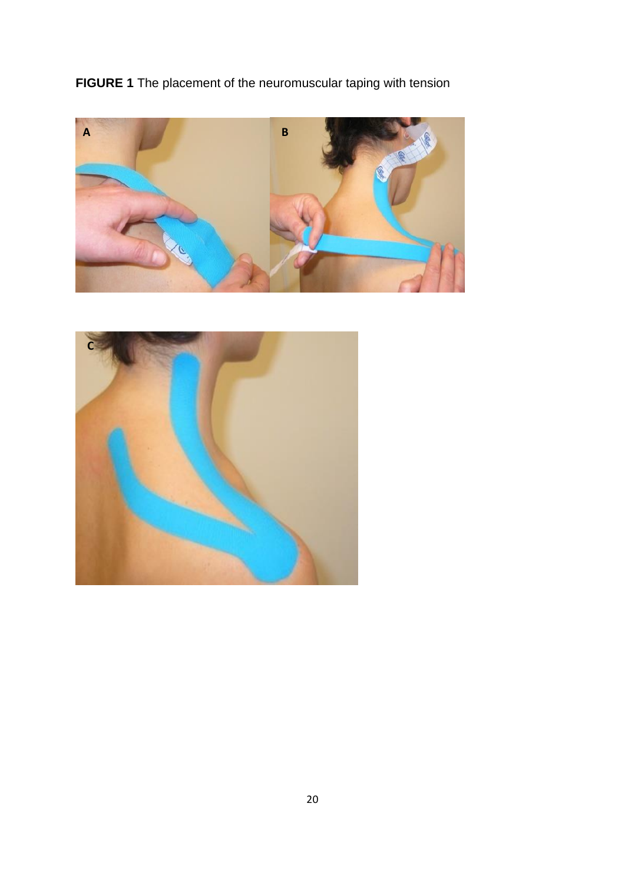**FIGURE 1** The placement of the neuromuscular taping with tension